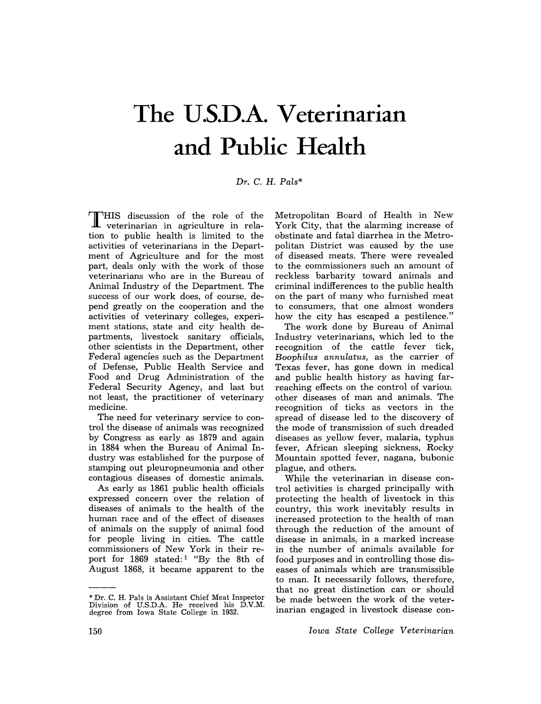# **The U.S.D.A. Veterinarian and Public Health**

### *Dr.* C. H. *Pals\**

THIS discussion of the role of the veterinarian in agriculture in relation to public health is limited to the activities of veterinarians in the Department of Agriculture and for the most part, deals only with the work of those veterinarians who are in the Bureau of Animal Industry of the Department. The success of our work does, of course, depend greatly on the cooperation and the activities of veterinary colleges, experiment stations, state and city health departments, livestock sanitary officials, other scientists in the Department, other Federal agencies such as the Department of Defense, Public Health Service and Food and Drug Administration of the Federal Security Agency, and last but not least, the practitioner of veterinary medicine.

The need for veterinary service to control the disease of animals was recognized by Congress as early as 1879 and again in 1884 when the Bureau of Animal Industry was established for the purpose of stamping out pleuropneumonia and other contagious diseases of domestic animals.

As early as 1861 public health officials expressed concern over the relation of diseases of animals to the health of the human race and of the effect of diseases of animals on the supply of animal food for people living in cities. The cattle commissioners of New York in their report for 1869 stated:<sup>1</sup> "By the 8th of August 1868, it became apparent to the

Metropolitan Board of Health in New York City, that the alarming increase of obstinate and fatal diarrhea in the Metropolitan District was caused by the use of diseased meats. There were revealed to the commissioners such an amount of reckless barbarity toward animals and criminal indifferences to the public health on the part of many who furnished meat to consumers, that one almost wonders how the city has escaped a pestilence."

The work done by Bureau of Animal Industry veterinarians, which led to the recognition of the cattle fever tick, *Boophilus annulatus,* as the carrier of Texas fever, has gone down in medical and public health history as having farreaching effects on the control of various. other diseases of man and animals. The recognition of ticks as vectors in the spread of disease led to the discovery of the mode of transmission of such dreaded diseases as yellow fever, malaria, typhus fever, African sleeping sickness, Rocky Mountain spotted fever, nagana, bubonic plague, and others.

While the veterinarian in disease control activities is charged principally with protecting the health of livestock in this country, this work inevitably results in increased protection to the health of man through the reduction of the amount of disease in animals, in a marked increase in the number of animals available for food purposes and in controlling those diseases of animals which are transmissible to man. It necessarily follows, therefore, that no great distinction can or should be made between the work of the veterinarian engaged in livestock disease con-

*Iowa State College Veterinarian* 

<sup>\*</sup> Dr. C. H. Pals is Assistant Chief Meat Inspector Division of U.S.D.A. He received his D.V.M. degree from Iowa State College in 1932.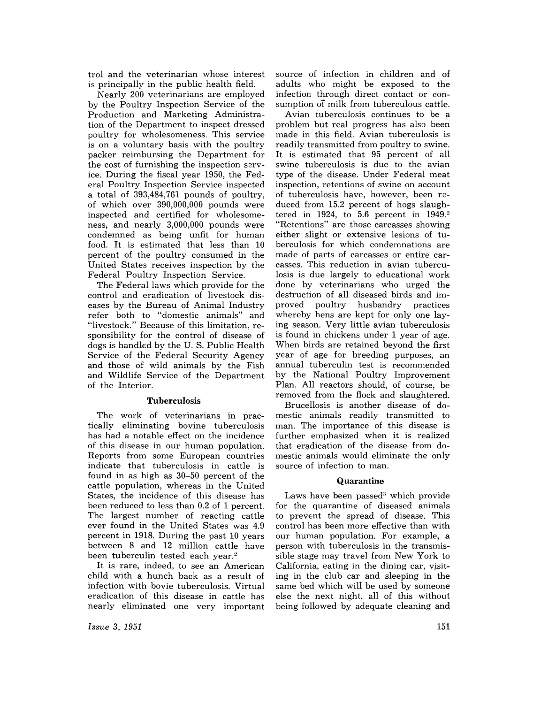trol and the veterinarian whose interest is principally in the public health field.

Nearly 200 veterinarians are employed by the Poultry Inspection Service of the Production and Marketing Administration of the Department to inspect dressed poultry for wholesomeness. This service is on a voluntary basis with the poultry packer reimbursing the Department for the cost of furnishing the inspection service. During the fiscal year 1950, the Federal Poultry Inspection Service inspected a total of 393,484,761 pounds of poultry, of which over 390,000,000 pounds were inspected and certified for wholesomeness, and nearly 3,000,000 pounds were condemned as being unfit for human food. It is estimated that less than 10 percent of the poultry consumed in the United States receives inspection by the Federal Poultry Inspection Service.

The Federal laws which provide for the control and eradication of livestock diseases by the Bureau of Animal Industry refer both to "domestic animals" and "livestock." Because of this limitation, responsibility for the control of disease of dogs is handled by the U. S. Public Health Service of the Federal Security Agency and those of wild animals by the Fish and Wildlife Service of the Department of the Interior.

#### **Tuberculosis**

The work of veterinarians in practically eliminating bovine tuberculosis has had a notable effect on the incidence of this disease in our human population. Reports from some European countries indicate that tuberculosis in cattle is found in as high as 30-50 percent of the cattle population, whereas in the United States, the incidence of this disease has been reduced to less than 0.2 of 1 percent. The largest number of reacting cattle ever found in the United States was 4.9 percent in 1918. During the past 10 years between 8 and 12 million cattle have been tuberculin tested each year.<sup>2</sup>

It is rare, indeed, to see an American child with a hunch back as a result of infection with bovie tuberculosis. Virtual eradication of this disease in cattle has nearly eliminated one very important source of infection in children and of adults who might be exposed to the infection through direct contact or consumption of milk from tuberculous cattle.

Avian tuberculosis continues to be a problem but real progress has also been made in this field. Avian tuberculosis is readily transmitted from poultry to swine. It is estimated that 95 percent of all swine tuberculosis is due to the avian type of the disease. Under Federal meat inspection, retentions of swine on account of tuberculosis have, however, been reduced from 15.2 percent of hogs slaughtered in 1924, to 5.6 percent in  $1949.^2$ "Retentions" are those carcasses showing either slight or extensive lesions of tuberculosis for which condemnations are made of parts of carcasses or entire carcasses. This reduction in avian tuberculosis is due largely to educational work done by veterinarians who urged the destruction of all diseased birds and im-<br>proved poultry husbandry practices husbandry practices whereby hens are kept for only one laying season. Very little avian tuberculosis is found in chickens under 1 year of age. When birds are retained beyond the first year of age for breeding purposes, an annual tuberculin test is recommended by the National Poultry Improvement Plan. All reactors should, of course, be removed from the flock and slaughtered.

Brucellosis is another disease of domestic animals readily transmitted to man. The importance of this disease is further emphasized when it is realized that eradication of the disease from domestic animals would eliminate the only source of infection to man.

#### **Quarantine**

Laws have been passed $3$  which provide for the quarantine of diseased animals to prevent the spread of disease. This control has been more effective than with our human population. For example, a person with tuberculosis in the transmissible stage may travel from New York to California, eating in the dining car, visiting in the club car and sleeping in the same bed which will be used by someone else the next night, all of this without being followed by adequate cleaning and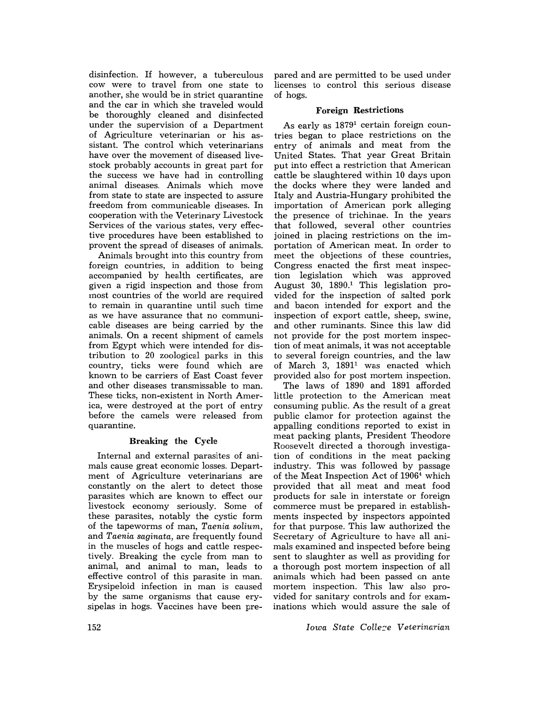disinfection. If however, a tuberculous cow were to travel from one state to another, she would be in strict quarantine and the car in which she traveled would be thoroughly cleaned and disinfected under the supervision of a Department of Agriculture veterinarian or his assistant. The control which veterinarians have over the movement of diseased livestock probably accounts in great part for the success we have had in controlling animal diseases. Animals which move from state to state are inspected to assure freedom from communicable diseases. In cooperation with the Veterinary Livestock Services of the various states, very effective procedures have been established to provent the spread of diseases of animals.

Animals brought into this country from foreign countries, in addition to being accompanied by health certificates, are given a rigid inspection and those from most countries of the world are required to remain in quarantine until such time as we have assurance that no communicable diseases are being carried by the animals. On a recent shipment of camels from Egypt which were intended for distribution to 20 zoological parks in this country, ticks were found which are known to be carriers of East Coast fever and other diseases transmissable to man. These ticks, non-existent in North America, were destroyed at the port of entry before the camels were released from quarantine.

# **Breaking the** Cycle

Internal and external parasites of animals cause great economic losses. Department of Agriculture veterinarians are constantly on the alert to detect those parasites which are known to effect our livestock economy seriously. Some of these parasites, notably the cystic form of the tapeworms of man, *Taenia solium,*  and *Taenia saginata,* are frequently found in the muscles of hogs and cattle respectively. Breaking the cycle from man to animal, and animal to man, leads to effective control of this parasite in man. Erysipeloid infection in man is caused by the same organisms that cause erysipelas in hogs. Vaccines have been pre-

pared and are permitted to be used under licenses to control this serious disease of hogs.

## **Foreign Restrictions**

As early as 18791 certain foreign countries began to place restrictions on the entry of animals and meat from the United States. That year Great Britain put into effect a restriction that American cattle be slaughtered within 10 days upon the docks where they were landed and Italy and Austria-Hungary prohibited the importation of American pork alleging the presence of trichinae. In the years that followed, several other countries joined in placing restrictions on the importation of American meat. In order to meet the objections of these countries, Congress enacted the first meat inspection legislation which was approved August 30, 1890.1 This legislation provided for the inspection of salted pork and bacon intended for export and the inspection of export cattle, sheep, swine, and other ruminants. Since this law did not provide for the post mortem inspection of meat animals, it was not acceptable to several foreign countries, and the law of March 3, 1891<sup>1</sup> was enacted which provided also for post mortem inspection.

The laws of 1890 and 1891 afforded little protection to the American meat consuming public. As the result of a great public clamor for protection against the appalling conditions reported to exist in meat packing plants, President Theodore Roosevelt directed a thorough investigation of conditions in the meat packing industry. This was followed by passage of the Meat Inspection Act of 19064 which provided that all meat and meat food products for sale in interstate or foreign commerce must be prepared in establishments inspected by inspectors appointed for that purpose. This law authorized the Secretary of Agriculture to have all animals examined and inspected before being sent to slaughter as well as providing for a thorough post mortem inspection of all animals which had been passed on ante mortem inspection. This law also provided for sanitary controls and for examinations which would assure the sale of

*Iowa State Colle:::e Veterinarian*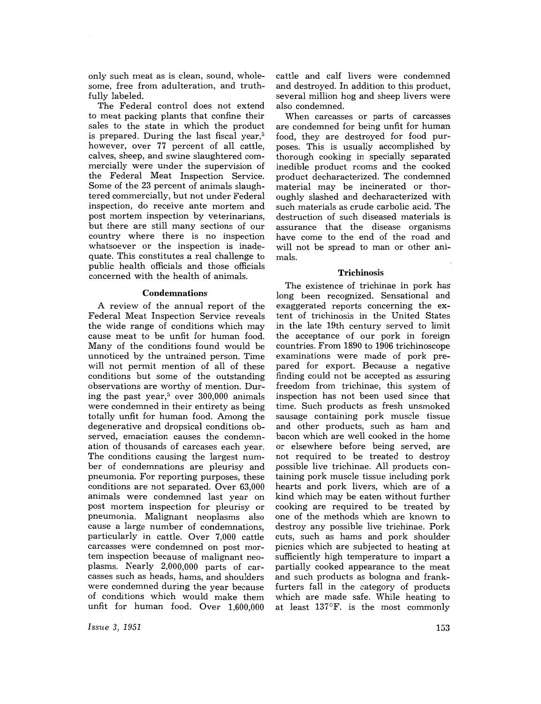only such meat as is clean, sound, wholesome, free from adulteration, and truthfully labeled.

The Federal control does not extend to meat packing plants that confine their sales to the state in which the product is prepared. During the last fiscal year, $5$ however, over 77 percent of all cattle, calves, sheep, and swine slaughtered commercially were under the supervision of the Federal Meat Inspection Service. Some of the 23 percent of animals slaughtered commercially, but not under Federal inspection, do receive ante mortem and post mortem inspection by veterinarians, but there are still many sections of our country where there is no inspection whatsoever or the inspection is inadequate. This constitutes a real challenge to public health officials and those officials concerned with the health of animals.

#### **Condemnations**

A review of the annual report of the Federal Meat Inspection Service reveals the wide range of conditions which may cause meat to be unfit for human food. Many of the conditions found would be unnoticed by the untrained person. Time will not permit mention of all of these conditions but some of the outstanding observations are worthy of mention. During the past year, $5$  over 300,000 animals were condemned in their entirety as being totally unfit for human food. Among the degenerative and dropsical conditions observed, emaciation causes the condemnation of thousands of carcases each year. The conditions causing the largest number of condemnations are pleurisy and pneumonia. For reporting purposes, these conditions are not separated. Over 63,000 animals were condemned last year on post mortem inspection for pleurisy or pneumonia. Malignant neoplasms also cause a large number of condemnations, particularly in cattle. Over 7,000 cattle carcasses were condemned on post mortem inspection because of malignant neoplasms. Nearly 2,000,000 parts of carcasses such as heads, hams, and shoulders were condemned during the year because of conditions which would make them unfit for human food. Over 1,600,000

*Issue* 3, 1951

cattle and calf livers were condemned and destroyed. In addition to this product, several million hog and sheep livers were also condemned.

When carcasses or parts of carcasses are condemned for being unfit for human food, they are destroyed for food purposes. This is usually accomplished by thorough cooking in specially separated inedible product rooms and the cooked product decharacterized. The condemned material may be incinerated or thoroughly slashed and decharacterized with such materials as crude carbolic acid. The destruction of such diseased materials is assurance that the disease organisms have come to the end of the road and will not be spread to man or other animals.

#### **Trichinosis**

The existence of trichinae in pork has long been recognized. Sensational and exaggerated reports concerning the extent of trichinosis in the United States in the late 19th century served to limit the acceptance of our pork in foreign countries. From 1890 to 1906 trichinoscope examinations were made of pork prepared for export. Because a negative finding could not be accepted as assuring freedom from trichinae, this system of inspection has not been used since that time. Such products as fresh unsmoked sausage containing pork muscle tissue and other products, such as ham and bacon which are well cooked in the home or elsewhere before being served, are not required to be treated to destroy possible live trichinae. All products containing pork muscle tissue including pork hearts and pork livers, which are of a kind which may be eaten without further cooking are required to be treated by one of the methods which are known to destroy any possible live trichinae. Pork cuts, such as hams and pork shoulder picnics which are subjected to heating at sufficiently high temperature to impart a partially cooked appearance to the meat and such products as bologna and frankfurters fall in the category of products which are made safe. While heating to at least 137°F. is the most commonly